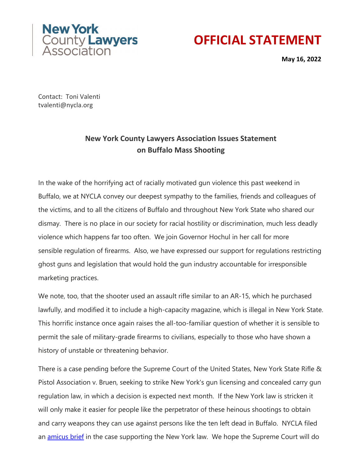



**May 16, 2022**

Contact: Toni Valenti tvalenti@nycla.org

## **New York County Lawyers Association Issues Statement on Buffalo Mass Shooting**

In the wake of the horrifying act of racially motivated gun violence this past weekend in Buffalo, we at NYCLA convey our deepest sympathy to the families, friends and colleagues of the victims, and to all the citizens of Buffalo and throughout New York State who shared our dismay. There is no place in our society for racial hostility or discrimination, much less deadly violence which happens far too often. We join Governor Hochul in her call for more sensible regulation of firearms. Also, we have expressed our support for regulations restricting ghost guns and legislation that would hold the gun industry accountable for irresponsible marketing practices.

We note, too, that the shooter used an assault rifle similar to an AR-15, which he purchased lawfully, and modified it to include a high-capacity magazine, which is illegal in New York State. This horrific instance once again raises the all-too-familiar question of whether it is sensible to permit the sale of military-grade firearms to civilians, especially to those who have shown a history of unstable or threatening behavior.

There is a case pending before the Supreme Court of the United States, New York State Rifle & Pistol Association v. Bruen, seeking to strike New York's gun licensing and concealed carry gun regulation law, in which a decision is expected next month. If the New York law is stricken it will only make it easier for people like the perpetrator of these heinous shootings to obtain and carry weapons they can use against persons like the ten left dead in Buffalo. NYCLA filed an [amicus brief](https://bit.ly/3wiqymr) in the case supporting the New York law. We hope the Supreme Court will do